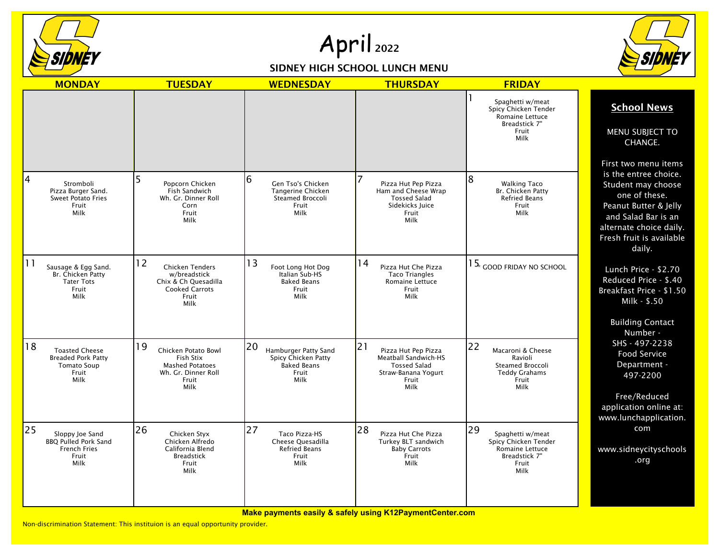

## April 2022

## SIDNEY HIGH SCHOOL LUNCH MENU



| <b>MONDAY</b>                                                                                          | <b>TUESDAY</b>                                                                                           | <b>WEDNESDAY</b>                                                                         | <b>THURSDAY</b>                                                                                                  | <b>FRIDAY</b>                                                                                       |                                                                                                                                                                                                       |
|--------------------------------------------------------------------------------------------------------|----------------------------------------------------------------------------------------------------------|------------------------------------------------------------------------------------------|------------------------------------------------------------------------------------------------------------------|-----------------------------------------------------------------------------------------------------|-------------------------------------------------------------------------------------------------------------------------------------------------------------------------------------------------------|
|                                                                                                        |                                                                                                          |                                                                                          |                                                                                                                  | Spaghetti w/meat<br>Spicy Chicken Tender<br>Romaine Lettuce<br>Breadstick 7"<br>Fruit<br>Milk       | <b>School News</b><br>MENU SUBJECT TO<br>CHANGE.                                                                                                                                                      |
| 4<br>Stromboli<br>Pizza Burger Sand.<br><b>Sweet Potato Fries</b><br>Fruit<br>Milk                     | Popcorn Chicken<br>Fish Sandwich<br>Wh. Gr. Dinner Roll<br>Corn<br>Fruit<br>Milk                         | 6<br>Gen Tso's Chicken<br>Tangerine Chicken<br>Steamed Broccoli<br>Fruit<br>Milk         | 7<br>Pizza Hut Pep Pizza<br>Ham and Cheese Wrap<br><b>Tossed Salad</b><br>Sidekicks Juice<br>Fruit<br>Milk       | $\overline{8}$<br><b>Walking Taco</b><br>Br. Chicken Patty<br>Refried Beans<br>Fruit<br>Milk        | First two menu items<br>is the entree choice.<br>Student may choose<br>one of these.<br>Peanut Butter & Jelly<br>and Salad Bar is an<br>alternate choice daily.<br>Fresh fruit is available<br>daily. |
| 11<br>Sausage & Egg Sand.<br>Br. Chicken Patty<br><b>Tater Tots</b><br>Fruit<br>Milk                   | 12<br>Chicken Tenders<br>w/breadstick<br>Chix & Ch Quesadilla<br><b>Cooked Carrots</b><br>Fruit<br>Milk  | 13<br>Foot Long Hot Dog<br>Italian Sub-HS<br><b>Baked Beans</b><br>Fruit<br>Milk         | 14<br>Pizza Hut Che Pizza<br><b>Taco Triangles</b><br>Romaine Lettuce<br>Fruit<br><b>Milk</b>                    | $15*$ good friday no school                                                                         | Lunch Price - \$2.70<br>Reduced Price - \$.40<br>Breakfast Price - \$1.50<br>Milk - \$.50<br><b>Building Contact</b><br>Number -                                                                      |
| 18<br><b>Toasted Cheese</b><br><b>Breaded Pork Patty</b><br><b>Tomato Soup</b><br>Fruit<br><b>Milk</b> | 19<br>Chicken Potato Bowl<br>Fish Stix<br><b>Mashed Potatoes</b><br>Wh. Gr. Dinner Roll<br>Fruit<br>Milk | 20<br>Hamburger Patty Sand<br>Spicy Chicken Patty<br><b>Baked Beans</b><br>Fruit<br>Milk | 21<br>Pizza Hut Pep Pizza<br>Meatball Sandwich-HS<br><b>Tossed Salad</b><br>Straw-Banana Yogurt<br>Fruit<br>Milk | 22<br>Macaroni & Cheese<br>Ravioli<br>Steamed Broccoli<br><b>Teddy Grahams</b><br>Fruit<br>Milk     | SHS - 497-2238<br>Food Service<br>Department -<br>497-2200<br>Free/Reduced<br>application online at:<br>www.lunchapplication.                                                                         |
| 25<br>Sloppy Joe Sand<br><b>BBQ Pulled Pork Sand</b><br><b>French Fries</b><br>Fruit<br><b>Milk</b>    | 26<br>Chicken Styx<br>Chicken Alfredo<br>California Blend<br><b>Breadstick</b><br>Fruit<br>Milk          | 27<br>Taco Pizza-HS<br>Cheese Quesadilla<br><b>Refried Beans</b><br>Fruit<br><b>Milk</b> | 28<br>Pizza Hut Che Pizza<br>Turkey BLT sandwich<br><b>Baby Carrots</b><br>Fruit<br>Milk                         | 29<br>Spaghetti w/meat<br>Spicy Chicken Tender<br>Romaine Lettuce<br>Breadstick 7"<br>Fruit<br>Milk | com<br>www.sidneycityschools<br>.org                                                                                                                                                                  |

**Make payments easily & safely using K12PaymentCenter.com**

Non-discrimination Statement: This instituion is an equal opportunity provider.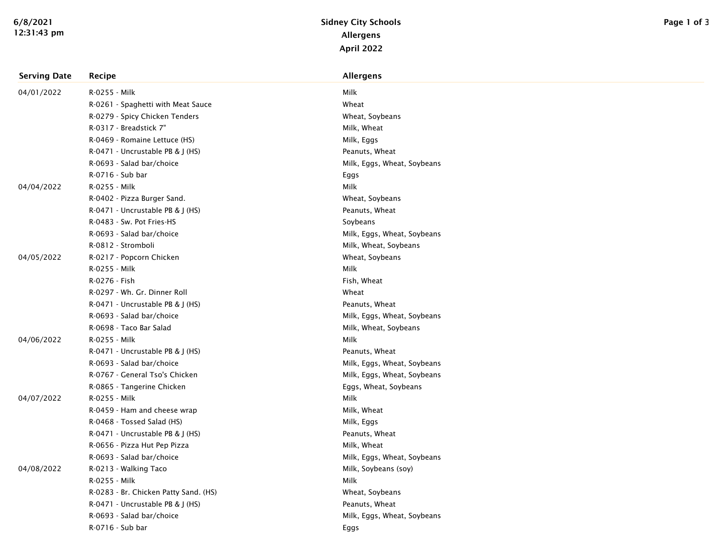| <b>Serving Date</b> | Recipe                                | <b>Allergens</b>            |
|---------------------|---------------------------------------|-----------------------------|
| 04/01/2022          | R-0255 - Milk                         | Milk                        |
|                     | R-0261 - Spaghetti with Meat Sauce    | Wheat                       |
|                     | R-0279 - Spicy Chicken Tenders        | Wheat, Soybeans             |
|                     | R-0317 - Breadstick 7"                | Milk, Wheat                 |
|                     | R-0469 - Romaine Lettuce (HS)         | Milk, Eggs                  |
|                     | R-0471 - Uncrustable PB & J (HS)      | Peanuts, Wheat              |
|                     | R-0693 - Salad bar/choice             | Milk, Eggs, Wheat, Soybeans |
|                     | R-0716 - Sub bar                      | Eggs                        |
| 04/04/2022          | R-0255 - Milk                         | Milk                        |
|                     | R-0402 - Pizza Burger Sand.           | Wheat, Soybeans             |
|                     | R-0471 - Uncrustable PB & J (HS)      | Peanuts, Wheat              |
|                     | R-0483 - Sw. Pot Fries-HS             | Soybeans                    |
|                     | R-0693 - Salad bar/choice             | Milk, Eggs, Wheat, Soybeans |
|                     | R-0812 - Stromboli                    | Milk, Wheat, Soybeans       |
| 04/05/2022          | R-0217 - Popcorn Chicken              | Wheat, Soybeans             |
|                     | R-0255 - Milk                         | Milk                        |
|                     | R-0276 - Fish                         | Fish, Wheat                 |
|                     | R-0297 - Wh. Gr. Dinner Roll          | Wheat                       |
|                     | R-0471 - Uncrustable PB & J (HS)      | Peanuts, Wheat              |
|                     | R-0693 - Salad bar/choice             | Milk, Eggs, Wheat, Soybeans |
|                     | R-0698 - Taco Bar Salad               | Milk, Wheat, Soybeans       |
| 04/06/2022          | R-0255 - Milk                         | Milk                        |
|                     | R-0471 - Uncrustable PB & J (HS)      | Peanuts, Wheat              |
|                     | R-0693 - Salad bar/choice             | Milk, Eggs, Wheat, Soybeans |
|                     | R-0767 - General Tso's Chicken        | Milk, Eggs, Wheat, Soybeans |
|                     | R-0865 - Tangerine Chicken            | Eggs, Wheat, Soybeans       |
| 04/07/2022          | R-0255 - Milk                         | Milk                        |
|                     | R-0459 - Ham and cheese wrap          | Milk, Wheat                 |
|                     | R-0468 - Tossed Salad (HS)            | Milk, Eggs                  |
|                     | R-0471 - Uncrustable PB & J (HS)      | Peanuts, Wheat              |
|                     | R-0656 - Pizza Hut Pep Pizza          | Milk, Wheat                 |
|                     | R-0693 - Salad bar/choice             | Milk, Eggs, Wheat, Soybeans |
| 04/08/2022          | R-0213 - Walking Taco                 | Milk, Soybeans (soy)        |
|                     | R-0255 - Milk                         | Milk                        |
|                     | R-0283 - Br. Chicken Patty Sand. (HS) | Wheat, Soybeans             |
|                     | R-0471 - Uncrustable PB & J (HS)      | Peanuts, Wheat              |
|                     | R-0693 - Salad bar/choice             | Milk, Eggs, Wheat, Soybeans |
|                     | R-0716 - Sub bar                      | Eggs                        |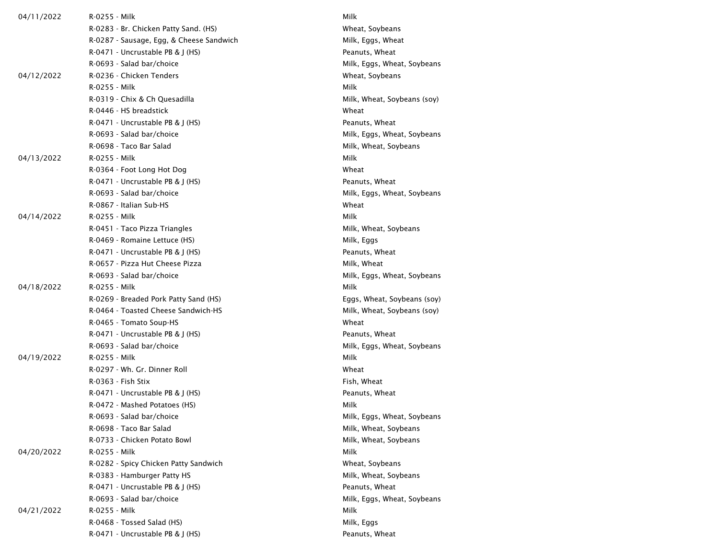| 04/11/2022 | R-0255 - Milk                            | Milk                        |
|------------|------------------------------------------|-----------------------------|
|            | R-0283 - Br. Chicken Patty Sand. (HS)    | Wheat, Soybeans             |
|            | R-0287 - Sausage, Egg, & Cheese Sandwich | Milk, Eggs, Wheat           |
|            | $R-0471$ - Uncrustable PB & J (HS)       | Peanuts, Wheat              |
|            | R-0693 - Salad bar/choice                | Milk, Eggs, Wheat, Soybeans |
| 04/12/2022 | R-0236 - Chicken Tenders                 | Wheat, Soybeans             |
|            | R-0255 - Milk                            | Milk                        |
|            | R-0319 - Chix & Ch Quesadilla            | Milk, Wheat, Soybeans (soy) |
|            | R-0446 - HS breadstick                   | Wheat                       |
|            | $R-0471$ - Uncrustable PB & J (HS)       | Peanuts, Wheat              |
|            | R-0693 - Salad bar/choice                | Milk, Eggs, Wheat, Soybeans |
|            | R-0698 - Taco Bar Salad                  | Milk, Wheat, Soybeans       |
| 04/13/2022 | R-0255 - Milk                            | Milk                        |
|            | R-0364 - Foot Long Hot Dog               | Wheat                       |
|            | R-0471 - Uncrustable PB & J (HS)         | Peanuts, Wheat              |
|            | R-0693 - Salad bar/choice                | Milk, Eggs, Wheat, Soybeans |
|            | R-0867 - Italian Sub-HS                  | Wheat                       |
| 04/14/2022 | R-0255 - Milk                            | Milk                        |
|            | R-0451 - Taco Pizza Triangles            | Milk, Wheat, Soybeans       |
|            | R-0469 - Romaine Lettuce (HS)            | Milk, Eggs                  |
|            | $R-0471$ - Uncrustable PB & J (HS)       | Peanuts, Wheat              |
|            | R-0657 - Pizza Hut Cheese Pizza          | Milk, Wheat                 |
|            | R-0693 - Salad bar/choice                | Milk, Eggs, Wheat, Soybeans |
| 04/18/2022 | R-0255 - Milk                            | Milk                        |
|            | R-0269 - Breaded Pork Patty Sand (HS)    | Eggs, Wheat, Soybeans (soy) |
|            | R-0464 - Toasted Cheese Sandwich-HS      | Milk, Wheat, Soybeans (soy) |
|            | R-0465 - Tomato Soup-HS                  | Wheat                       |
|            | R-0471 - Uncrustable PB & J (HS)         | Peanuts, Wheat              |
|            | R-0693 - Salad bar/choice                | Milk, Eggs, Wheat, Soybeans |
| 04/19/2022 | R-0255 - Milk                            | Milk                        |
|            | R-0297 - Wh. Gr. Dinner Roll             | Wheat                       |
|            | R-0363 - Fish Stix                       | Fish, Wheat                 |
|            | $R-0471$ - Uncrustable PB & J (HS)       | Peanuts, Wheat              |
|            | R-0472 - Mashed Potatoes (HS)            | Milk                        |
|            | R-0693 - Salad bar/choice                | Milk, Eggs, Wheat, Soybeans |
|            | R-0698 - Taco Bar Salad                  | Milk, Wheat, Soybeans       |
|            | R-0733 - Chicken Potato Bowl             | Milk, Wheat, Soybeans       |
| 04/20/2022 | R-0255 - Milk                            | Milk                        |
|            | R-0282 - Spicy Chicken Patty Sandwich    | Wheat, Soybeans             |
|            | R-0383 - Hamburger Patty HS              | Milk, Wheat, Soybeans       |
|            | R-0471 - Uncrustable PB & J (HS)         | Peanuts, Wheat              |
|            | R-0693 - Salad bar/choice                | Milk, Eggs, Wheat, Soybeans |
| 04/21/2022 | R-0255 - Milk                            | Milk                        |
|            | R-0468 - Tossed Salad (HS)               | Milk, Eggs                  |
|            | R-0471 - Uncrustable PB & J (HS)         | Peanuts, Wheat              |